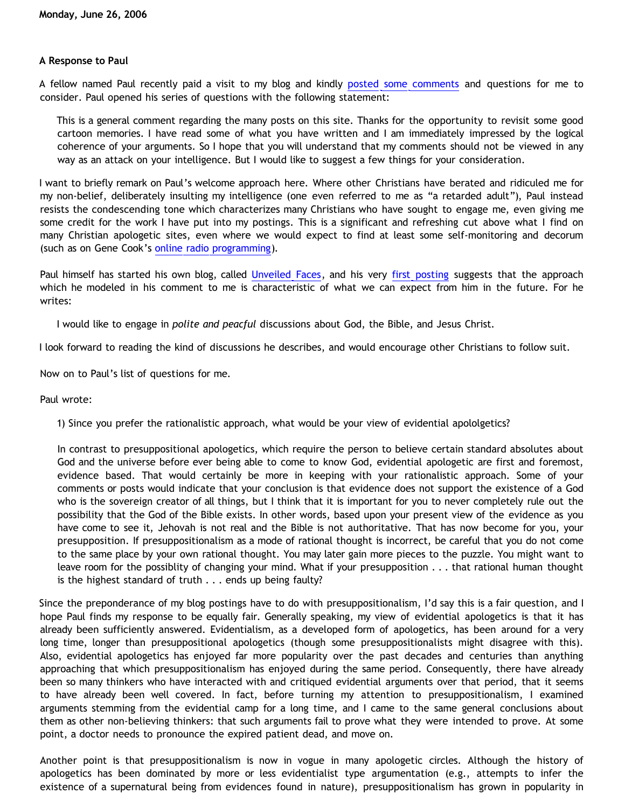## **A Response to Paul**

A fellow named Paul recently paid a visit to my blog and kindly [posted some comments](http://bahnsenburner.blogspot.com/2006/06/strengths-of-cartoon-universe-analogy.html) and questions for me to consider. Paul opened his series of questions with the following statement:

This is a general comment regarding the many posts on this site. Thanks for the opportunity to revisit some good cartoon memories. I have read some of what you have written and I am immediately impressed by the logical coherence of your arguments. So I hope that you will understand that my comments should not be viewed in any way as an attack on your intelligence. But I would like to suggest a few things for your consideration.

I want to briefly remark on Paul's welcome approach here. Where other Christians have berated and ridiculed me for my non-belief, deliberately insulting my intelligence (one even referred to me as "a retarded adult"), Paul instead resists the condescending tone which characterizes many Christians who have sought to engage me, even giving me some credit for the work I have put into my postings. This is a significant and refreshing cut above what I find on many Christian apologetic sites, even where we would expect to find at least some self-monitoring and decorum (such as on Gene Cook's [online radio programming\)](http://www.unchainedradio.com/nuke/index.php).

Paul himself has started his own blog, called [Unveiled Faces](http://thearkie.blogspot.com/), and his very [first posting](http://thearkie.blogspot.com/2006/06/just-arrived.html) suggests that the approach which he modeled in his comment to me is characteristic of what we can expect from him in the future. For he writes:

I would like to engage in *polite and peacful* discussions about God, the Bible, and Jesus Christ.

I look forward to reading the kind of discussions he describes, and would encourage other Christians to follow suit.

Now on to Paul's list of questions for me.

Paul wrote:

1) Since you prefer the rationalistic approach, what would be your view of evidential apololgetics?

In contrast to presuppositional apologetics, which require the person to believe certain standard absolutes about God and the universe before ever being able to come to know God, evidential apologetic are first and foremost, evidence based. That would certainly be more in keeping with your rationalistic approach. Some of your comments or posts would indicate that your conclusion is that evidence does not support the existence of a God who is the sovereign creator of all things, but I think that it is important for you to never completely rule out the possibility that the God of the Bible exists. In other words, based upon your present view of the evidence as you have come to see it, Jehovah is not real and the Bible is not authoritative. That has now become for you, your presupposition. If presuppositionalism as a mode of rational thought is incorrect, be careful that you do not come to the same place by your own rational thought. You may later gain more pieces to the puzzle. You might want to leave room for the possiblity of changing your mind. What if your presupposition . . . that rational human thought is the highest standard of truth . . . ends up being faulty?

Since the preponderance of my blog postings have to do with presuppositionalism, I'd say this is a fair question, and I hope Paul finds my response to be equally fair. Generally speaking, my view of evidential apologetics is that it has already been sufficiently answered. Evidentialism, as a developed form of apologetics, has been around for a very long time, longer than presuppositional apologetics (though some presuppositionalists might disagree with this). Also, evidential apologetics has enjoyed far more popularity over the past decades and centuries than anything approaching that which presuppositionalism has enjoyed during the same period. Consequently, there have already been so many thinkers who have interacted with and critiqued evidential arguments over that period, that it seems to have already been well covered. In fact, before turning my attention to presuppositionalism, I examined arguments stemming from the evidential camp for a long time, and I came to the same general conclusions about them as other non-believing thinkers: that such arguments fail to prove what they were intended to prove. At some point, a doctor needs to pronounce the expired patient dead, and move on.

Another point is that presuppositionalism is now in vogue in many apologetic circles. Although the history of apologetics has been dominated by more or less evidentialist type argumentation (e.g., attempts to infer the existence of a supernatural being from evidences found in nature), presuppositionalism has grown in popularity in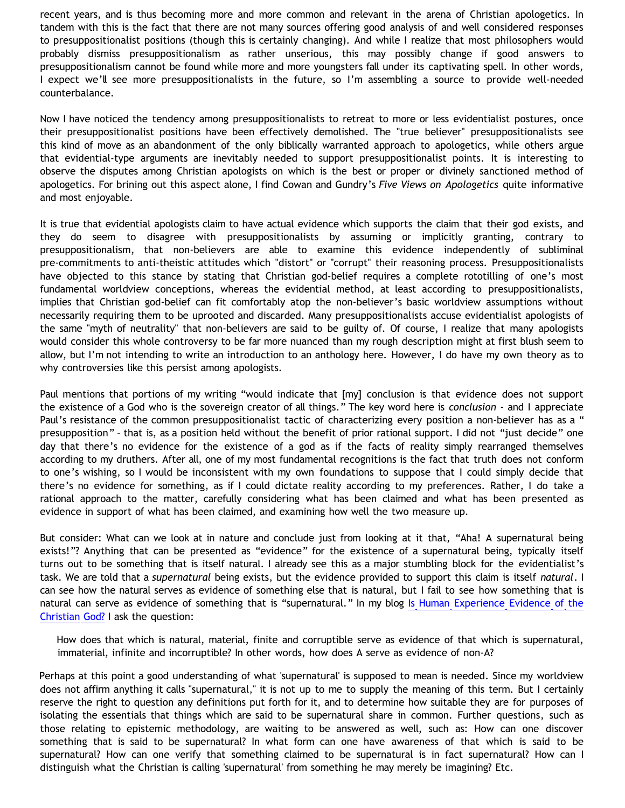recent years, and is thus becoming more and more common and relevant in the arena of Christian apologetics. In tandem with this is the fact that there are not many sources offering good analysis of and well considered responses to presuppositionalist positions (though this is certainly changing). And while I realize that most philosophers would probably dismiss presuppositionalism as rather unserious, this may possibly change if good answers to presuppositionalism cannot be found while more and more youngsters fall under its captivating spell. In other words, I expect we'll see more presuppositionalists in the future, so I'm assembling a source to provide well-needed counterbalance.

Now I have noticed the tendency among presuppositionalists to retreat to more or less evidentialist postures, once their presuppositionalist positions have been effectively demolished. The "true believer" presuppositionalists see this kind of move as an abandonment of the only biblically warranted approach to apologetics, while others argue that evidential-type arguments are inevitably needed to support presuppositionalist points. It is interesting to observe the disputes among Christian apologists on which is the best or proper or divinely sanctioned method of apologetics. For brining out this aspect alone, I find Cowan and Gundry's *Five Views on Apologetics* quite informative and most enjoyable.

It is true that evidential apologists claim to have actual evidence which supports the claim that their god exists, and they do seem to disagree with presuppositionalists by assuming or implicitly granting, contrary to presuppositionalism, that non-believers are able to examine this evidence independently of subliminal pre-commitments to anti-theistic attitudes which "distort" or "corrupt" their reasoning process. Presuppositionalists have objected to this stance by stating that Christian god-belief requires a complete rototilling of one's most fundamental worldview conceptions, whereas the evidential method, at least according to presuppositionalists, implies that Christian god-belief can fit comfortably atop the non-believer's basic worldview assumptions without necessarily requiring them to be uprooted and discarded. Many presuppositionalists accuse evidentialist apologists of the same "myth of neutrality" that non-believers are said to be guilty of. Of course, I realize that many apologists would consider this whole controversy to be far more nuanced than my rough description might at first blush seem to allow, but I'm not intending to write an introduction to an anthology here. However, I do have my own theory as to why controversies like this persist among apologists.

Paul mentions that portions of my writing "would indicate that [my] conclusion is that evidence does not support the existence of a God who is the sovereign creator of all things." The key word here is *conclusion* - and I appreciate Paul's resistance of the common presuppositionalist tactic of characterizing every position a non-believer has as a " presupposition" – that is, as a position held without the benefit of prior rational support. I did not "just decide" one day that there's no evidence for the existence of a god as if the facts of reality simply rearranged themselves according to my druthers. After all, one of my most fundamental recognitions is the fact that truth does not conform to one's wishing, so I would be inconsistent with my own foundations to suppose that I could simply decide that there's no evidence for something, as if I could dictate reality according to my preferences. Rather, I do take a rational approach to the matter, carefully considering what has been claimed and what has been presented as evidence in support of what has been claimed, and examining how well the two measure up.

But consider: What can we look at in nature and conclude just from looking at it that, "Aha! A supernatural being exists!"? Anything that can be presented as "evidence" for the existence of a supernatural being, typically itself turns out to be something that is itself natural. I already see this as a major stumbling block for the evidentialist's task. We are told that a *supernatural* being exists, but the evidence provided to support this claim is itself *natural*. I can see how the natural serves as evidence of something else that is natural, but I fail to see how something that is natural can serve as evidence of something that is "supernatural." In my blog [Is Human Experience Evidence of the](http://bahnsenburner.blogspot.com/2005/06/is-human-experience-evidence-of.html) [Christian God?](http://bahnsenburner.blogspot.com/2005/06/is-human-experience-evidence-of.html) I ask the question:

How does that which is natural, material, finite and corruptible serve as evidence of that which is supernatural, immaterial, infinite and incorruptible? In other words, how does A serve as evidence of non-A?

Perhaps at this point a good understanding of what 'supernatural' is supposed to mean is needed. Since my worldview does not affirm anything it calls "supernatural," it is not up to me to supply the meaning of this term. But I certainly reserve the right to question any definitions put forth for it, and to determine how suitable they are for purposes of isolating the essentials that things which are said to be supernatural share in common. Further questions, such as those relating to epistemic methodology, are waiting to be answered as well, such as: How can one discover something that is said to be supernatural? In what form can one have awareness of that which is said to be supernatural? How can one verify that something claimed to be supernatural is in fact supernatural? How can I distinguish what the Christian is calling 'supernatural' from something he may merely be imagining? Etc.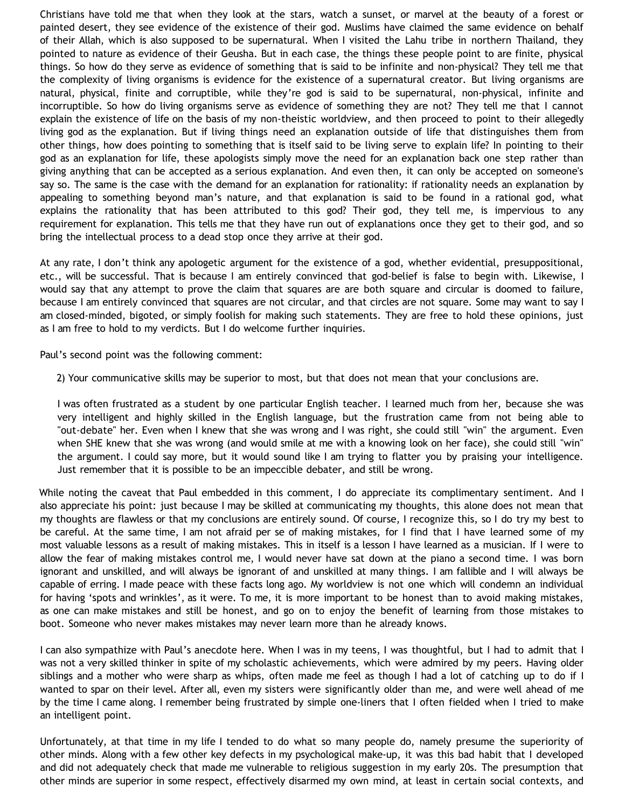Christians have told me that when they look at the stars, watch a sunset, or marvel at the beauty of a forest or painted desert, they see evidence of the existence of their god. Muslims have claimed the same evidence on behalf of their Allah, which is also supposed to be supernatural. When I visited the Lahu tribe in northern Thailand, they pointed to nature as evidence of their Geusha. But in each case, the things these people point to are finite, physical things. So how do they serve as evidence of something that is said to be infinite and non-physical? They tell me that the complexity of living organisms is evidence for the existence of a supernatural creator. But living organisms are natural, physical, finite and corruptible, while they're god is said to be supernatural, non-physical, infinite and incorruptible. So how do living organisms serve as evidence of something they are not? They tell me that I cannot explain the existence of life on the basis of my non-theistic worldview, and then proceed to point to their allegedly living god as the explanation. But if living things need an explanation outside of life that distinguishes them from other things, how does pointing to something that is itself said to be living serve to explain life? In pointing to their god as an explanation for life, these apologists simply move the need for an explanation back one step rather than giving anything that can be accepted as a serious explanation. And even then, it can only be accepted on someone's say so. The same is the case with the demand for an explanation for rationality: if rationality needs an explanation by appealing to something beyond man's nature, and that explanation is said to be found in a rational god, what explains the rationality that has been attributed to this god? Their god, they tell me, is impervious to any requirement for explanation. This tells me that they have run out of explanations once they get to their god, and so bring the intellectual process to a dead stop once they arrive at their god.

At any rate, I don't think any apologetic argument for the existence of a god, whether evidential, presuppositional, etc., will be successful. That is because I am entirely convinced that god-belief is false to begin with. Likewise, I would say that any attempt to prove the claim that squares are are both square and circular is doomed to failure, because I am entirely convinced that squares are not circular, and that circles are not square. Some may want to say I am closed-minded, bigoted, or simply foolish for making such statements. They are free to hold these opinions, just as I am free to hold to my verdicts. But I do welcome further inquiries.

Paul's second point was the following comment:

2) Your communicative skills may be superior to most, but that does not mean that your conclusions are.

I was often frustrated as a student by one particular English teacher. I learned much from her, because she was very intelligent and highly skilled in the English language, but the frustration came from not being able to "out-debate" her. Even when I knew that she was wrong and I was right, she could still "win" the argument. Even when SHE knew that she was wrong (and would smile at me with a knowing look on her face), she could still "win" the argument. I could say more, but it would sound like I am trying to flatter you by praising your intelligence. Just remember that it is possible to be an impeccible debater, and still be wrong.

While noting the caveat that Paul embedded in this comment, I do appreciate its complimentary sentiment. And I also appreciate his point: just because I may be skilled at communicating my thoughts, this alone does not mean that my thoughts are flawless or that my conclusions are entirely sound. Of course, I recognize this, so I do try my best to be careful. At the same time, I am not afraid per se of making mistakes, for I find that I have learned some of my most valuable lessons as a result of making mistakes. This in itself is a lesson I have learned as a musician. If I were to allow the fear of making mistakes control me, I would never have sat down at the piano a second time. I was born ignorant and unskilled, and will always be ignorant of and unskilled at many things. I am fallible and I will always be capable of erring. I made peace with these facts long ago. My worldview is not one which will condemn an individual for having 'spots and wrinkles', as it were. To me, it is more important to be honest than to avoid making mistakes, as one can make mistakes and still be honest, and go on to enjoy the benefit of learning from those mistakes to boot. Someone who never makes mistakes may never learn more than he already knows.

I can also sympathize with Paul's anecdote here. When I was in my teens, I was thoughtful, but I had to admit that I was not a very skilled thinker in spite of my scholastic achievements, which were admired by my peers. Having older siblings and a mother who were sharp as whips, often made me feel as though I had a lot of catching up to do if I wanted to spar on their level. After all, even my sisters were significantly older than me, and were well ahead of me by the time I came along. I remember being frustrated by simple one-liners that I often fielded when I tried to make an intelligent point.

Unfortunately, at that time in my life I tended to do what so many people do, namely presume the superiority of other minds. Along with a few other key defects in my psychological make-up, it was this bad habit that I developed and did not adequately check that made me vulnerable to religious suggestion in my early 20s. The presumption that other minds are superior in some respect, effectively disarmed my own mind, at least in certain social contexts, and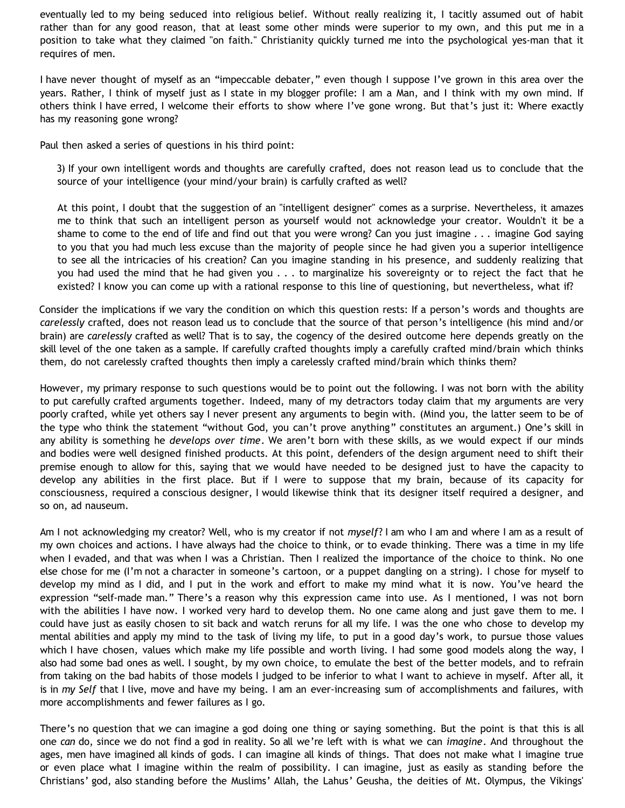eventually led to my being seduced into religious belief. Without really realizing it, I tacitly assumed out of habit rather than for any good reason, that at least some other minds were superior to my own, and this put me in a position to take what they claimed "on faith." Christianity quickly turned me into the psychological yes-man that it requires of men.

I have never thought of myself as an "impeccable debater," even though I suppose I've grown in this area over the years. Rather, I think of myself just as I state in my blogger profile: I am a Man, and I think with my own mind. If others think I have erred, I welcome their efforts to show where I've gone wrong. But that's just it: Where exactly has my reasoning gone wrong?

Paul then asked a series of questions in his third point:

3) If your own intelligent words and thoughts are carefully crafted, does not reason lead us to conclude that the source of your intelligence (your mind/your brain) is carfully crafted as well?

At this point, I doubt that the suggestion of an "intelligent designer" comes as a surprise. Nevertheless, it amazes me to think that such an intelligent person as yourself would not acknowledge your creator. Wouldn't it be a shame to come to the end of life and find out that you were wrong? Can you just imagine . . . imagine God saying to you that you had much less excuse than the majority of people since he had given you a superior intelligence to see all the intricacies of his creation? Can you imagine standing in his presence, and suddenly realizing that you had used the mind that he had given you . . . to marginalize his sovereignty or to reject the fact that he existed? I know you can come up with a rational response to this line of questioning, but nevertheless, what if?

Consider the implications if we vary the condition on which this question rests: If a person's words and thoughts are *carelessly* crafted, does not reason lead us to conclude that the source of that person's intelligence (his mind and/or brain) are *carelessly* crafted as well? That is to say, the cogency of the desired outcome here depends greatly on the skill level of the one taken as a sample. If carefully crafted thoughts imply a carefully crafted mind/brain which thinks them, do not carelessly crafted thoughts then imply a carelessly crafted mind/brain which thinks them?

However, my primary response to such questions would be to point out the following. I was not born with the ability to put carefully crafted arguments together. Indeed, many of my detractors today claim that my arguments are very poorly crafted, while yet others say I never present any arguments to begin with. (Mind you, the latter seem to be of the type who think the statement "without God, you can't prove anything" constitutes an argument.) One's skill in any ability is something he *develops over time*. We aren't born with these skills, as we would expect if our minds and bodies were well designed finished products. At this point, defenders of the design argument need to shift their premise enough to allow for this, saying that we would have needed to be designed just to have the capacity to develop any abilities in the first place. But if I were to suppose that my brain, because of its capacity for consciousness, required a conscious designer, I would likewise think that its designer itself required a designer, and so on, ad nauseum.

Am I not acknowledging my creator? Well, who is my creator if not *myself*? I am who I am and where I am as a result of my own choices and actions. I have always had the choice to think, or to evade thinking. There was a time in my life when I evaded, and that was when I was a Christian. Then I realized the importance of the choice to think. No one else chose for me (I'm not a character in someone's cartoon, or a puppet dangling on a string). I chose for myself to develop my mind as I did, and I put in the work and effort to make my mind what it is now. You've heard the expression "self-made man." There's a reason why this expression came into use. As I mentioned, I was not born with the abilities I have now. I worked very hard to develop them. No one came along and just gave them to me. I could have just as easily chosen to sit back and watch reruns for all my life. I was the one who chose to develop my mental abilities and apply my mind to the task of living my life, to put in a good day's work, to pursue those values which I have chosen, values which make my life possible and worth living. I had some good models along the way, I also had some bad ones as well. I sought, by my own choice, to emulate the best of the better models, and to refrain from taking on the bad habits of those models I judged to be inferior to what I want to achieve in myself. After all, it is in *my Self* that I live, move and have my being. I am an ever-increasing sum of accomplishments and failures, with more accomplishments and fewer failures as I go.

There's no question that we can imagine a god doing one thing or saying something. But the point is that this is all one *can* do, since we do not find a god in reality. So all we're left with is what we can *imagine*. And throughout the ages, men have imagined all kinds of gods. I can imagine all kinds of things. That does not make what I imagine true or even place what I imagine within the realm of possibility. I can imagine, just as easily as standing before the Christians' god, also standing before the Muslims' Allah, the Lahus' Geusha, the deities of Mt. Olympus, the Vikings'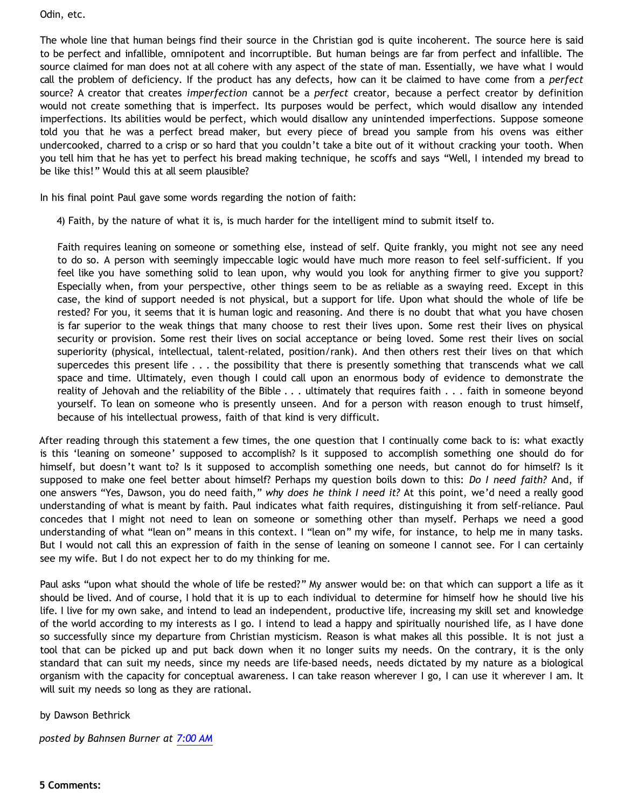Odin, etc.

The whole line that human beings find their source in the Christian god is quite incoherent. The source here is said to be perfect and infallible, omnipotent and incorruptible. But human beings are far from perfect and infallible. The source claimed for man does not at all cohere with any aspect of the state of man. Essentially, we have what I would call the problem of deficiency. If the product has any defects, how can it be claimed to have come from a *perfect* source? A creator that creates *imperfection* cannot be a *perfect* creator, because a perfect creator by definition would not create something that is imperfect. Its purposes would be perfect, which would disallow any intended imperfections. Its abilities would be perfect, which would disallow any unintended imperfections. Suppose someone told you that he was a perfect bread maker, but every piece of bread you sample from his ovens was either undercooked, charred to a crisp or so hard that you couldn't take a bite out of it without cracking your tooth. When you tell him that he has yet to perfect his bread making technique, he scoffs and says "Well, I intended my bread to be like this!" Would this at all seem plausible?

In his final point Paul gave some words regarding the notion of faith:

4) Faith, by the nature of what it is, is much harder for the intelligent mind to submit itself to.

Faith requires leaning on someone or something else, instead of self. Quite frankly, you might not see any need to do so. A person with seemingly impeccable logic would have much more reason to feel self-sufficient. If you feel like you have something solid to lean upon, why would you look for anything firmer to give you support? Especially when, from your perspective, other things seem to be as reliable as a swaying reed. Except in this case, the kind of support needed is not physical, but a support for life. Upon what should the whole of life be rested? For you, it seems that it is human logic and reasoning. And there is no doubt that what you have chosen is far superior to the weak things that many choose to rest their lives upon. Some rest their lives on physical security or provision. Some rest their lives on social acceptance or being loved. Some rest their lives on social superiority (physical, intellectual, talent-related, position/rank). And then others rest their lives on that which supercedes this present life . . . the possibility that there is presently something that transcends what we call space and time. Ultimately, even though I could call upon an enormous body of evidence to demonstrate the reality of Jehovah and the reliability of the Bible . . . ultimately that requires faith . . . faith in someone beyond yourself. To lean on someone who is presently unseen. And for a person with reason enough to trust himself, because of his intellectual prowess, faith of that kind is very difficult.

After reading through this statement a few times, the one question that I continually come back to is: what exactly is this 'leaning on someone' supposed to accomplish? Is it supposed to accomplish something one should do for himself, but doesn't want to? Is it supposed to accomplish something one needs, but cannot do for himself? Is it supposed to make one feel better about himself? Perhaps my question boils down to this: *Do I need faith?* And, if one answers "Yes, Dawson, you do need faith," *why does he think I need it?* At this point, we'd need a really good understanding of what is meant by faith. Paul indicates what faith requires, distinguishing it from self-reliance. Paul concedes that I might not need to lean on someone or something other than myself. Perhaps we need a good understanding of what "lean on" means in this context. I "lean on" my wife, for instance, to help me in many tasks. But I would not call this an expression of faith in the sense of leaning on someone I cannot see. For I can certainly see my wife. But I do not expect her to do my thinking for me.

Paul asks "upon what should the whole of life be rested?" My answer would be: on that which can support a life as it should be lived. And of course, I hold that it is up to each individual to determine for himself how he should live his life. I live for my own sake, and intend to lead an independent, productive life, increasing my skill set and knowledge of the world according to my interests as I go. I intend to lead a happy and spiritually nourished life, as I have done so successfully since my departure from Christian mysticism. Reason is what makes all this possible. It is not just a tool that can be picked up and put back down when it no longer suits my needs. On the contrary, it is the only standard that can suit my needs, since my needs are life-based needs, needs dictated by my nature as a biological organism with the capacity for conceptual awareness. I can take reason wherever I go, I can use it wherever I am. It will suit my needs so long as they are rational.

## by Dawson Bethrick

*posted by Bahnsen Burner at [7:00 AM](http://bahnsenburner.blogspot.com/2006/06/response-to-paul.html)*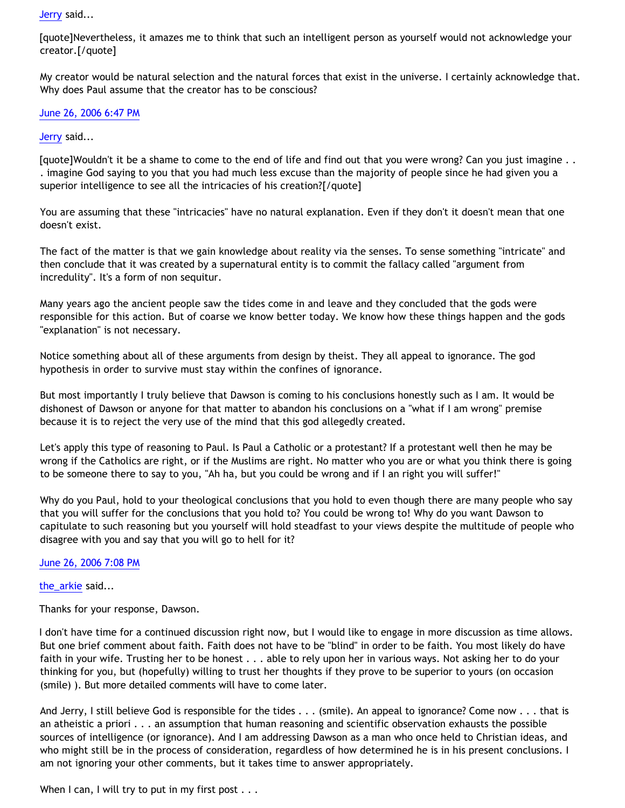[Jerry](http://www.blogger.com/profile/12959741) said...

[quote]Nevertheless, it amazes me to think that such an intelligent person as yourself would not acknowledge your creator.[/quote]

My creator would be natural selection and the natural forces that exist in the universe. I certainly acknowledge that. Why does Paul assume that the creator has to be conscious?

[June 26, 2006 6:47 PM](http://bahnsenburner.blogspot.com/2006/06/115137287271007808)

[Jerry](http://www.blogger.com/profile/12959741) said...

[quote]Wouldn't it be a shame to come to the end of life and find out that you were wrong? Can you just imagine . . . imagine God saying to you that you had much less excuse than the majority of people since he had given you a superior intelligence to see all the intricacies of his creation?[/quote]

You are assuming that these "intricacies" have no natural explanation. Even if they don't it doesn't mean that one doesn't exist.

The fact of the matter is that we gain knowledge about reality via the senses. To sense something "intricate" and then conclude that it was created by a supernatural entity is to commit the fallacy called "argument from incredulity". It's a form of non sequitur.

Many years ago the ancient people saw the tides come in and leave and they concluded that the gods were responsible for this action. But of coarse we know better today. We know how these things happen and the gods "explanation" is not necessary.

Notice something about all of these arguments from design by theist. They all appeal to ignorance. The god hypothesis in order to survive must stay within the confines of ignorance.

But most importantly I truly believe that Dawson is coming to his conclusions honestly such as I am. It would be dishonest of Dawson or anyone for that matter to abandon his conclusions on a "what if I am wrong" premise because it is to reject the very use of the mind that this god allegedly created.

Let's apply this type of reasoning to Paul. Is Paul a Catholic or a protestant? If a protestant well then he may be wrong if the Catholics are right, or if the Muslims are right. No matter who you are or what you think there is going to be someone there to say to you, "Ah ha, but you could be wrong and if I an right you will suffer!"

Why do you Paul, hold to your theological conclusions that you hold to even though there are many people who say that you will suffer for the conclusions that you hold to? You could be wrong to! Why do you want Dawson to capitulate to such reasoning but you yourself will hold steadfast to your views despite the multitude of people who disagree with you and say that you will go to hell for it?

[June 26, 2006 7:08 PM](http://bahnsenburner.blogspot.com/2006/06/115137409111936274)

the arkie said...

Thanks for your response, Dawson.

I don't have time for a continued discussion right now, but I would like to engage in more discussion as time allows. But one brief comment about faith. Faith does not have to be "blind" in order to be faith. You most likely do have faith in your wife. Trusting her to be honest . . . able to rely upon her in various ways. Not asking her to do your thinking for you, but (hopefully) willing to trust her thoughts if they prove to be superior to yours (on occasion (smile) ). But more detailed comments will have to come later.

And Jerry, I still believe God is responsible for the tides . . . (smile). An appeal to ignorance? Come now . . . that is an atheistic a priori . . . an assumption that human reasoning and scientific observation exhausts the possible sources of intelligence (or ignorance). And I am addressing Dawson as a man who once held to Christian ideas, and who might still be in the process of consideration, regardless of how determined he is in his present conclusions. I am not ignoring your other comments, but it takes time to answer appropriately.

When I can, I will try to put in my first post . . .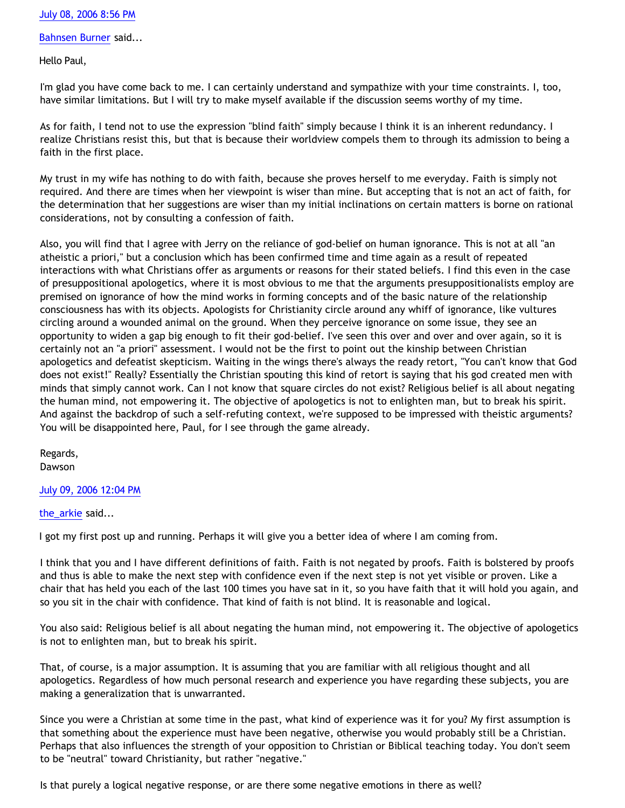## [July 08, 2006 8:56 PM](http://bahnsenburner.blogspot.com/2006/06/115241740785327649)

[Bahnsen Burner](http://www.blogger.com/profile/7766918) said...

Hello Paul,

I'm glad you have come back to me. I can certainly understand and sympathize with your time constraints. I, too, have similar limitations. But I will try to make myself available if the discussion seems worthy of my time.

As for faith, I tend not to use the expression "blind faith" simply because I think it is an inherent redundancy. I realize Christians resist this, but that is because their worldview compels them to through its admission to being a faith in the first place.

My trust in my wife has nothing to do with faith, because she proves herself to me everyday. Faith is simply not required. And there are times when her viewpoint is wiser than mine. But accepting that is not an act of faith, for the determination that her suggestions are wiser than my initial inclinations on certain matters is borne on rational considerations, not by consulting a confession of faith.

Also, you will find that I agree with Jerry on the reliance of god-belief on human ignorance. This is not at all "an atheistic a priori," but a conclusion which has been confirmed time and time again as a result of repeated interactions with what Christians offer as arguments or reasons for their stated beliefs. I find this even in the case of presuppositional apologetics, where it is most obvious to me that the arguments presuppositionalists employ are premised on ignorance of how the mind works in forming concepts and of the basic nature of the relationship consciousness has with its objects. Apologists for Christianity circle around any whiff of ignorance, like vultures circling around a wounded animal on the ground. When they perceive ignorance on some issue, they see an opportunity to widen a gap big enough to fit their god-belief. I've seen this over and over and over again, so it is certainly not an "a priori" assessment. I would not be the first to point out the kinship between Christian apologetics and defeatist skepticism. Waiting in the wings there's always the ready retort, "You can't know that God does not exist!" Really? Essentially the Christian spouting this kind of retort is saying that his god created men with minds that simply cannot work. Can I not know that square circles do not exist? Religious belief is all about negating the human mind, not empowering it. The objective of apologetics is not to enlighten man, but to break his spirit. And against the backdrop of such a self-refuting context, we're supposed to be impressed with theistic arguments? You will be disappointed here, Paul, for I see through the game already.

Regards, Dawson

## [July 09, 2006 12:04 PM](http://bahnsenburner.blogspot.com/2006/06/115247188733922207)

[the\\_arkie](http://www.blogger.com/profile/26467963) said...

I got my first post up and running. Perhaps it will give you a better idea of where I am coming from.

I think that you and I have different definitions of faith. Faith is not negated by proofs. Faith is bolstered by proofs and thus is able to make the next step with confidence even if the next step is not yet visible or proven. Like a chair that has held you each of the last 100 times you have sat in it, so you have faith that it will hold you again, and so you sit in the chair with confidence. That kind of faith is not blind. It is reasonable and logical.

You also said: Religious belief is all about negating the human mind, not empowering it. The objective of apologetics is not to enlighten man, but to break his spirit.

That, of course, is a major assumption. It is assuming that you are familiar with all religious thought and all apologetics. Regardless of how much personal research and experience you have regarding these subjects, you are making a generalization that is unwarranted.

Since you were a Christian at some time in the past, what kind of experience was it for you? My first assumption is that something about the experience must have been negative, otherwise you would probably still be a Christian. Perhaps that also influences the strength of your opposition to Christian or Biblical teaching today. You don't seem to be "neutral" toward Christianity, but rather "negative."

Is that purely a logical negative response, or are there some negative emotions in there as well?